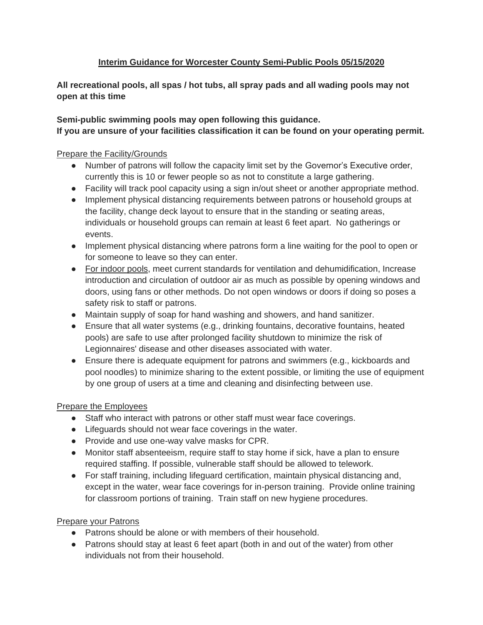# **Interim Guidance for Worcester County Semi-Public Pools 05/15/2020**

**All recreational pools, all spas / hot tubs, all spray pads and all wading pools may not open at this time**

#### **Semi-public swimming pools may open following this guidance. If you are unsure of your facilities classification it can be found on your operating permit.**

#### Prepare the Facility/Grounds

- Number of patrons will follow the capacity limit set by the Governor's Executive order, currently this is 10 or fewer people so as not to constitute a large gathering.
- Facility will track pool capacity using a sign in/out sheet or another appropriate method.
- Implement physical distancing requirements between patrons or household groups at the facility, change deck layout to ensure that in the standing or seating areas, individuals or household groups can remain at least 6 feet apart. No gatherings or events.
- Implement physical distancing where patrons form a line waiting for the pool to open or for someone to leave so they can enter.
- For indoor pools, meet current standards for ventilation and dehumidification, Increase introduction and circulation of outdoor air as much as possible by opening windows and doors, using fans or other methods. Do not open windows or doors if doing so poses a safety risk to staff or patrons.
- Maintain supply of soap for hand washing and showers, and hand sanitizer.
- Ensure that all water systems (e.g., drinking fountains, decorative fountains, heated pools) are safe to use after prolonged facility shutdown to minimize the risk of Legionnaires' disease and other diseases associated with water.
- Ensure there is adequate equipment for patrons and swimmers (e.g., kickboards and pool noodles) to minimize sharing to the extent possible, or limiting the use of equipment by one group of users at a time and cleaning and disinfecting between use.

### Prepare the Employees

- Staff who interact with patrons or other staff must wear face coverings.
- Lifeguards should not wear face coverings in the water.
- Provide and use one-way valve masks for CPR.
- Monitor staff absenteeism, require staff to stay home if sick, have a plan to ensure required staffing. If possible, vulnerable staff should be allowed to telework.
- For staff training, including lifeguard certification, maintain physical distancing and, except in the water, wear face coverings for in-person training. Provide online training for classroom portions of training. Train staff on new hygiene procedures.

### Prepare your Patrons

- Patrons should be alone or with members of their household.
- Patrons should stay at least 6 feet apart (both in and out of the water) from other individuals not from their household.